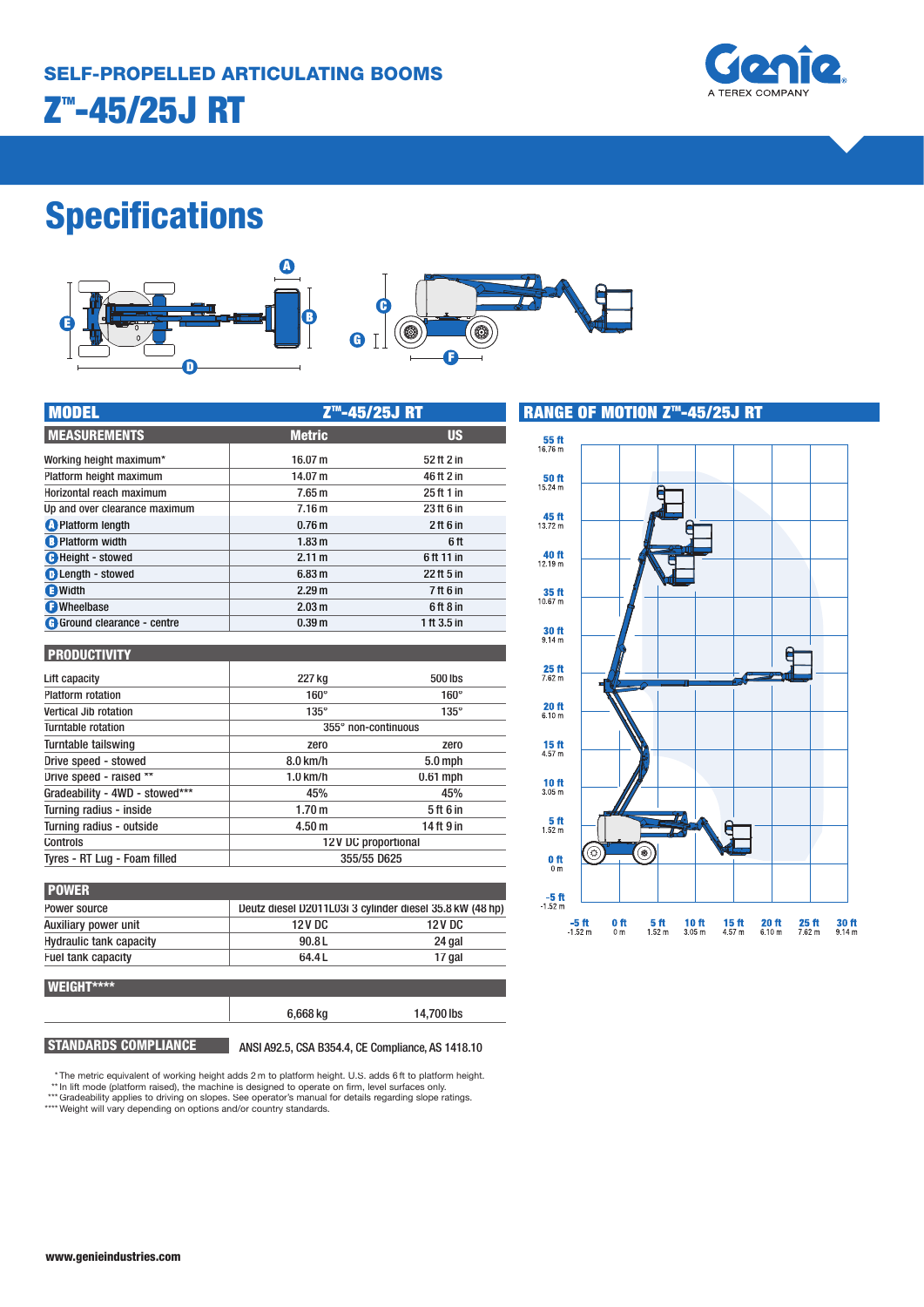

## **Specifications**



| <b>MODEL</b>                  | Z <sup>™</sup> -45/25J RT |             |  |
|-------------------------------|---------------------------|-------------|--|
| <b>MEASUREMENTS</b>           | <b>Metric</b>             | <b>US</b>   |  |
| Working height maximum*       | 16.07 m                   | 52 ft 2 in  |  |
| Platform height maximum       | 14.07 m                   | 46 ft 2 in  |  |
| Horizontal reach maximum      | 7.65 <sub>m</sub>         | 25 ft 1 in  |  |
| Up and over clearance maximum | 7.16 <sub>m</sub>         | 23 ft 6 in  |  |
| <b>O</b> Platform length      | 0.76 <sub>m</sub>         | $2$ ft 6 in |  |
| <b>B</b> Platform width       | 1.83 <sub>m</sub>         | 6ft         |  |
| <b>C</b> Height - stowed      | 2.11 m                    | 6ft 11 in   |  |
| <b>D</b> Length - stowed      | 6.83 <sub>m</sub>         | 22 ft 5 in  |  |
| <b>a</b> Width                | 2.29 <sub>m</sub>         | 7 ft 6 in   |  |
| <b>O</b> Wheelbase            | 2.03 <sub>m</sub>         | 6ft8in      |  |
| G Ground clearance - centre   | 0.39 <sub>m</sub>         | 1 ft 3.5 in |  |

#### **PRODUCTIVITY**

| 227 kg              | 500 lbs     |
|---------------------|-------------|
| $160^\circ$         | $160^\circ$ |
| $135^\circ$         | $135^\circ$ |
| 355° non-continuous |             |
| zero                | zero        |
| $8.0 \text{ km/h}$  | $5.0$ mph   |
| $1.0$ km/h          | $0.61$ mph  |
| 45%                 | 45%         |
| 1.70 <sub>m</sub>   | 5 ft 6 in   |
| 4.50 <sub>m</sub>   | 14 ft 9 in  |
| 12V DC proportional |             |
| 355/55 D625         |             |
|                     |             |

| <b>POWER</b>                   |                                                          |         |
|--------------------------------|----------------------------------------------------------|---------|
| Power source                   | Deutz diesel D2011L03i 3 cylinder diesel 35.8 kW (48 hp) |         |
| Auxiliary power unit           | 12 V DC                                                  | 12 V DC |
| <b>Hydraulic tank capacity</b> | 90.8L                                                    | 24 gal  |
| Fuel tank capacity             | 64.4L                                                    | 17 gal  |
|                                |                                                          |         |



**STANDARDS COMPLIANCE** ANSI A92.5, CSA B354.4, CE Compliance, AS 1418.10

6,668 kg 14,700 lbs

\* The metric equivalent of working height adds 2 m to platform height. U.S. adds 6 ft to platform height.

- 
- \*\* In lift mode (platform raised), the machine is designed to operate on firm, level surfaces only. \*\*\* Gradeability applies to driving on slopes. See operator's manual for details regarding slope ratings.

\*\*\*\* Weight will vary depending on options and/or country standards.

**RANGE OF MOTION Z™-45/25J RT**